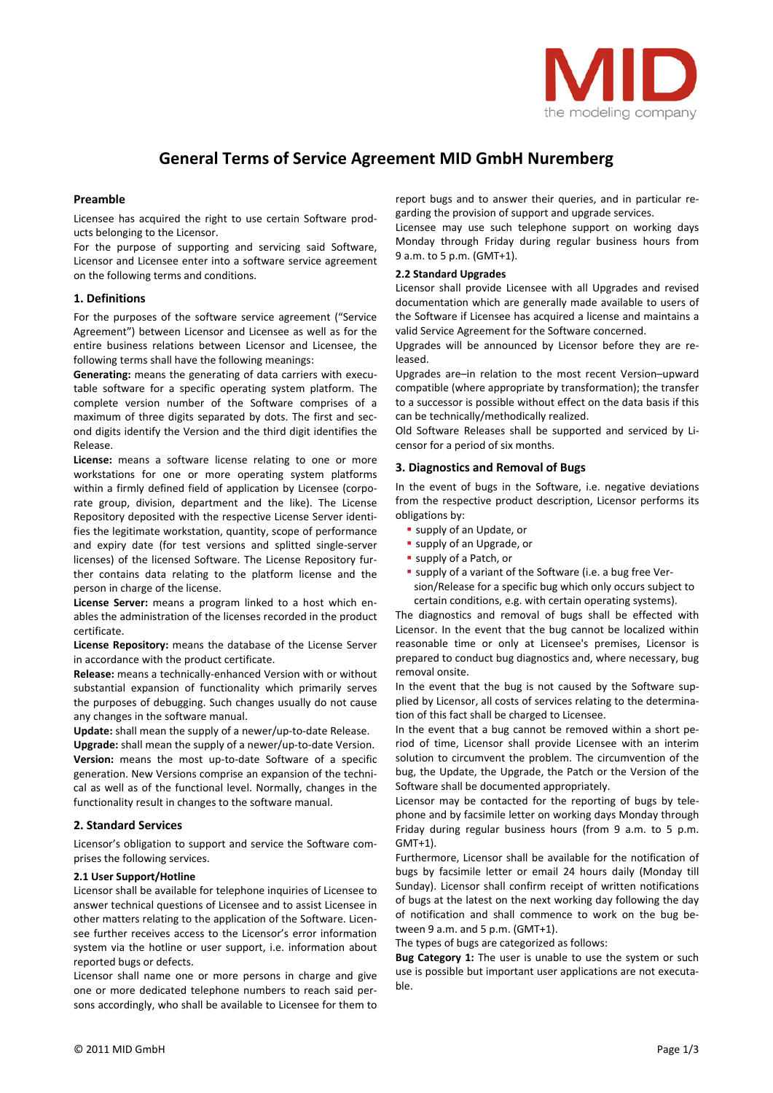

# **General Terms of Service Agreement MID GmbH Nuremberg**

# **Preamble**

Licensee has acquired the right to use certain Software prod‐ ucts belonging to the Licensor.

For the purpose of supporting and servicing said Software, Licensor and Licensee enter into a software service agreement on the following terms and conditions.

## **1. Definitions**

For the purposes of the software service agreement ("Service Agreement") between Licensor and Licensee as well as for the entire business relations between Licensor and Licensee, the following terms shall have the following meanings:

**Generating:** means the generating of data carriers with execu‐ table software for a specific operating system platform. The complete version number of the Software comprises of a maximum of three digits separated by dots. The first and sec‐ ond digits identify the Version and the third digit identifies the Release.

**License:** means a software license relating to one or more workstations for one or more operating system platforms within a firmly defined field of application by Licensee (corporate group, division, department and the like). The License Repository deposited with the respective License Server identi‐ fies the legitimate workstation, quantity, scope of performance and expiry date (for test versions and splitted single‐server licenses) of the licensed Software. The License Repository fur‐ ther contains data relating to the platform license and the person in charge of the license.

**License Server:** means a program linked to a host which en‐ ables the administration of the licenses recorded in the product certificate.

**License Repository:** means the database of the License Server in accordance with the product certificate.

**Release:** means a technically‐enhanced Version with or without substantial expansion of functionality which primarily serves the purposes of debugging. Such changes usually do not cause any changes in the software manual.

Update: shall mean the supply of a newer/up-to-date Release.

**Upgrade:** shall mean the supply of a newer/up‐to‐date Version. **Version:** means the most up-to-date Software of a specific generation. New Versions comprise an expansion of the techni‐ cal as well as of the functional level. Normally, changes in the functionality result in changes to the software manual.

# **2. Standard Services**

Licensor's obligation to support and service the Software com‐ prises the following services.

## **2.1 User Support/Hotline**

Licensor shall be available for telephone inquiries of Licensee to answer technical questions of Licensee and to assist Licensee in other matters relating to the application of the Software. Licen‐ see further receives access to the Licensor's error information system via the hotline or user support, i.e. information about reported bugs or defects.

Licensor shall name one or more persons in charge and give one or more dedicated telephone numbers to reach said per‐ sons accordingly, who shall be available to Licensee for them to report bugs and to answer their queries, and in particular re‐ garding the provision of support and upgrade services.

Licensee may use such telephone support on working days Monday through Friday during regular business hours from 9 a.m. to 5 p.m. (GMT+1).

#### **2.2 Standard Upgrades**

Licensor shall provide Licensee with all Upgrades and revised documentation which are generally made available to users of the Software if Licensee has acquired a license and maintains a valid Service Agreement for the Software concerned.

Upgrades will be announced by Licensor before they are re‐ leased.

Upgrades are–in relation to the most recent Version–upward compatible (where appropriate by transformation); the transfer to a successor is possible without effect on the data basis if this can be technically/methodically realized.

Old Software Releases shall be supported and serviced by Li‐ censor for a period of six months.

# **3. Diagnostics and Removal of Bugs**

In the event of bugs in the Software, i.e. negative deviations from the respective product description, Licensor performs its obligations by:

- supply of an Update, or
- supply of an Upgrade, or
- supply of a Patch, or
- supply of a variant of the Software (i.e. a bug free Version/Release for a specific bug which only occurs subject to certain conditions, e.g. with certain operating systems).

The diagnostics and removal of bugs shall be effected with Licensor. In the event that the bug cannot be localized within reasonable time or only at Licensee's premises, Licensor is prepared to conduct bug diagnostics and, where necessary, bug removal onsite.

In the event that the bug is not caused by the Software sup‐ plied by Licensor, all costs of services relating to the determination of this fact shall be charged to Licensee.

In the event that a bug cannot be removed within a short pe‐ riod of time, Licensor shall provide Licensee with an interim solution to circumvent the problem. The circumvention of the bug, the Update, the Upgrade, the Patch or the Version of the Software shall be documented appropriately.

Licensor may be contacted for the reporting of bugs by tele‐ phone and by facsimile letter on working days Monday through Friday during regular business hours (from 9 a.m. to 5 p.m.  $GMT+1$ ).

Furthermore, Licensor shall be available for the notification of bugs by facsimile letter or email 24 hours daily (Monday till Sunday). Licensor shall confirm receipt of written notifications of bugs at the latest on the next working day following the day of notification and shall commence to work on the bug be‐ tween 9 a.m. and 5 p.m. (GMT+1).

The types of bugs are categorized as follows:

**Bug Category 1:** The user is unable to use the system or such use is possible but important user applications are not executable.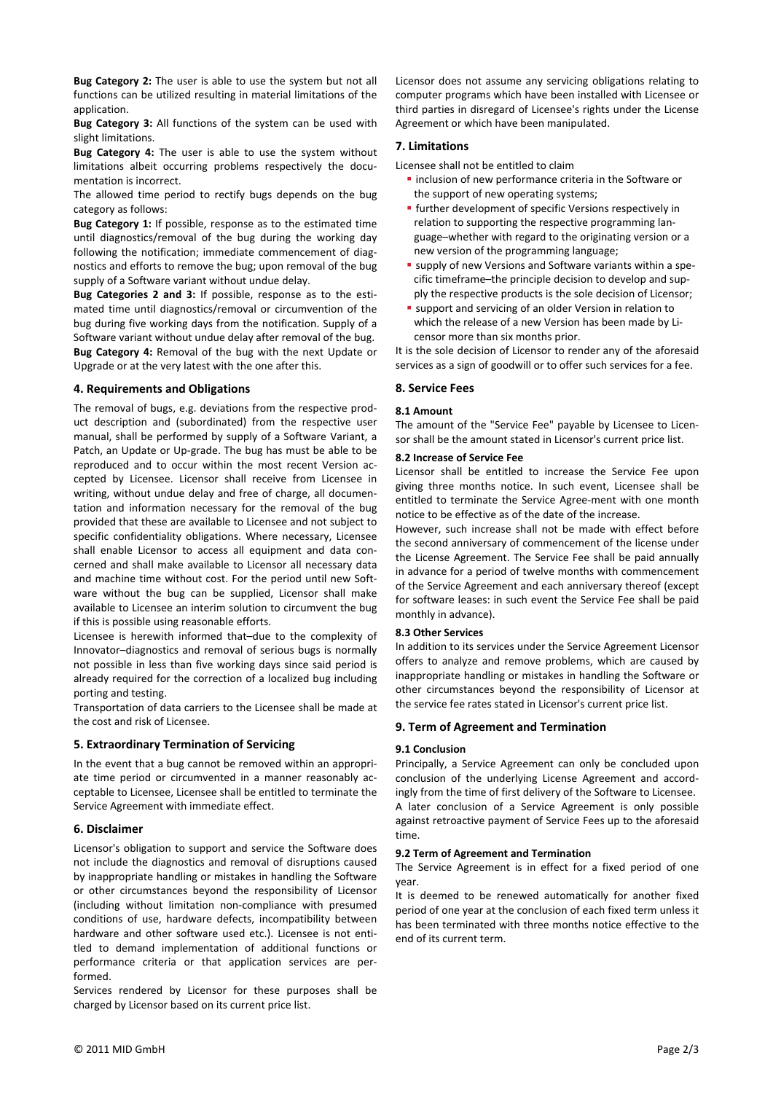**Bug Category 2:** The user is able to use the system but not all functions can be utilized resulting in material limitations of the application.

**Bug Category 3:** All functions of the system can be used with slight limitations.

**Bug Category 4:** The user is able to use the system without limitations albeit occurring problems respectively the documentation is incorrect.

The allowed time period to rectify bugs depends on the bug category as follows:

**Bug Category 1:** If possible, response as to the estimated time until diagnostics/removal of the bug during the working day following the notification; immediate commencement of diagnostics and efforts to remove the bug; upon removal of the bug supply of a Software variant without undue delay.

**Bug Categories 2 and 3:** If possible, response as to the esti‐ mated time until diagnostics/removal or circumvention of the bug during five working days from the notification. Supply of a Software variant without undue delay after removal of the bug. **Bug Category 4:** Removal of the bug with the next Update or Upgrade or at the very latest with the one after this.

## **4. Requirements and Obligations**

The removal of bugs, e.g. deviations from the respective prod‐ uct description and (subordinated) from the respective user manual, shall be performed by supply of a Software Variant, a Patch, an Update or Up‐grade. The bug has must be able to be reproduced and to occur within the most recent Version ac‐ cepted by Licensee. Licensor shall receive from Licensee in writing, without undue delay and free of charge, all documen‐ tation and information necessary for the removal of the bug provided that these are available to Licensee and not subject to specific confidentiality obligations. Where necessary, Licensee shall enable Licensor to access all equipment and data concerned and shall make available to Licensor all necessary data and machine time without cost. For the period until new Software without the bug can be supplied, Licensor shall make available to Licensee an interim solution to circumvent the bug if this is possible using reasonable efforts.

Licensee is herewith informed that–due to the complexity of Innovator–diagnostics and removal of serious bugs is normally not possible in less than five working days since said period is already required for the correction of a localized bug including porting and testing.

Transportation of data carriers to the Licensee shall be made at the cost and risk of Licensee.

# **5. Extraordinary Termination of Servicing**

In the event that a bug cannot be removed within an appropri‐ ate time period or circumvented in a manner reasonably acceptable to Licensee, Licensee shall be entitled to terminate the Service Agreement with immediate effect.

## **6. Disclaimer**

Licensor's obligation to support and service the Software does not include the diagnostics and removal of disruptions caused by inappropriate handling or mistakes in handling the Software or other circumstances beyond the responsibility of Licensor (including without limitation non‐compliance with presumed conditions of use, hardware defects, incompatibility between hardware and other software used etc.). Licensee is not entitled to demand implementation of additional functions or performance criteria or that application services are per‐ formed.

Services rendered by Licensor for these purposes shall be charged by Licensor based on its current price list.

Licensor does not assume any servicing obligations relating to computer programs which have been installed with Licensee or third parties in disregard of Licensee's rights under the License Agreement or which have been manipulated.

## **7. Limitations**

Licensee shall not be entitled to claim

- **·** inclusion of new performance criteria in the Software or the support of new operating systems;
- **further development of specific Versions respectively in** relation to supporting the respective programming language–whether with regard to the originating version or a new version of the programming language;
- supply of new Versions and Software variants within a specific timeframe–the principle decision to develop and sup‐ ply the respective products is the sole decision of Licensor;
- support and servicing of an older Version in relation to which the release of a new Version has been made by Li‐ censor more than six months prior.

It is the sole decision of Licensor to render any of the aforesaid services as a sign of goodwill or to offer such services for a fee.

# **8. Service Fees**

# **8.1 Amount**

The amount of the "Service Fee" payable by Licensee to Licen‐ sor shall be the amount stated in Licensor's current price list.

## **8.2 Increase of Service Fee**

Licensor shall be entitled to increase the Service Fee upon giving three months notice. In such event, Licensee shall be entitled to terminate the Service Agree‐ment with one month notice to be effective as of the date of the increase.

However, such increase shall not be made with effect before the second anniversary of commencement of the license under the License Agreement. The Service Fee shall be paid annually in advance for a period of twelve months with commencement of the Service Agreement and each anniversary thereof (except for software leases: in such event the Service Fee shall be paid monthly in advance).

## **8.3 Other Services**

In addition to its services under the Service Agreement Licensor offers to analyze and remove problems, which are caused by inappropriate handling or mistakes in handling the Software or other circumstances beyond the responsibility of Licensor at the service fee rates stated in Licensor's current price list.

## **9. Term of Agreement and Termination**

## **9.1 Conclusion**

Principally, a Service Agreement can only be concluded upon conclusion of the underlying License Agreement and accord‐ ingly from the time of first delivery of the Software to Licensee. A later conclusion of a Service Agreement is only possible against retroactive payment of Service Fees up to the aforesaid time.

#### **9.2 Term of Agreement and Termination**

The Service Agreement is in effect for a fixed period of one year.

It is deemed to be renewed automatically for another fixed period of one year at the conclusion of each fixed term unless it has been terminated with three months notice effective to the end of its current term.